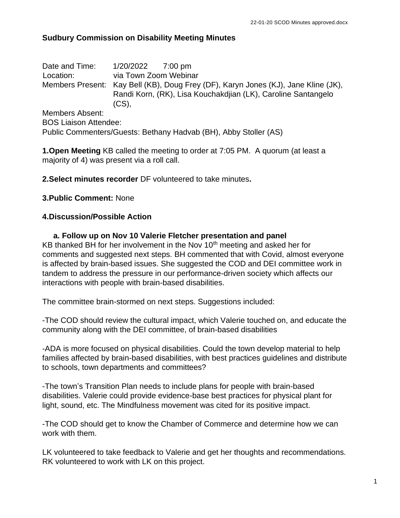#### **Sudbury Commission on Disability Meeting Minutes**

| Members Present: Kay Bell (KB), Doug Frey (DF), Karyn Jones (KJ), Jane Kline (JK),<br>Randi Korn, (RK), Lisa Kouchakdijan (LK), Caroline Santangelo |  |
|-----------------------------------------------------------------------------------------------------------------------------------------------------|--|
|                                                                                                                                                     |  |
|                                                                                                                                                     |  |
|                                                                                                                                                     |  |
|                                                                                                                                                     |  |

**1.Open Meeting** KB called the meeting to order at 7:05 PM. A quorum (at least a majority of 4) was present via a roll call.

**2.Select minutes recorder** DF volunteered to take minutes**.**

#### **3.Public Comment:** None

#### **4.Discussion/Possible Action**

 **a. Follow up on Nov 10 Valerie Fletcher presentation and panel** KB thanked BH for her involvement in the Nov  $10<sup>th</sup>$  meeting and asked her for comments and suggested next steps. BH commented that with Covid, almost everyone is affected by brain-based issues. She suggested the COD and DEI committee work in tandem to address the pressure in our performance-driven society which affects our interactions with people with brain-based disabilities.

The committee brain-stormed on next steps. Suggestions included:

-The COD should review the cultural impact, which Valerie touched on, and educate the community along with the DEI committee, of brain-based disabilities

-ADA is more focused on physical disabilities. Could the town develop material to help families affected by brain-based disabilities, with best practices guidelines and distribute to schools, town departments and committees?

-The town's Transition Plan needs to include plans for people with brain-based disabilities. Valerie could provide evidence-base best practices for physical plant for light, sound, etc. The Mindfulness movement was cited for its positive impact.

-The COD should get to know the Chamber of Commerce and determine how we can work with them.

LK volunteered to take feedback to Valerie and get her thoughts and recommendations. RK volunteered to work with LK on this project.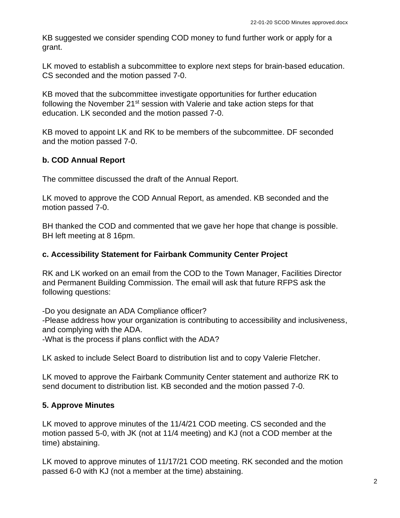KB suggested we consider spending COD money to fund further work or apply for a grant.

LK moved to establish a subcommittee to explore next steps for brain-based education. CS seconded and the motion passed 7-0.

KB moved that the subcommittee investigate opportunities for further education following the November 21<sup>st</sup> session with Valerie and take action steps for that education. LK seconded and the motion passed 7-0.

KB moved to appoint LK and RK to be members of the subcommittee. DF seconded and the motion passed 7-0.

# **b. COD Annual Report**

The committee discussed the draft of the Annual Report.

LK moved to approve the COD Annual Report, as amended. KB seconded and the motion passed 7-0.

BH thanked the COD and commented that we gave her hope that change is possible. BH left meeting at 8 16pm.

### **c. Accessibility Statement for Fairbank Community Center Project**

RK and LK worked on an email from the COD to the Town Manager, Facilities Director and Permanent Building Commission. The email will ask that future RFPS ask the following questions:

-Do you designate an ADA Compliance officer?

-Please address how your organization is contributing to accessibility and inclusiveness, and complying with the ADA.

-What is the process if plans conflict with the ADA?

LK asked to include Select Board to distribution list and to copy Valerie Fletcher.

LK moved to approve the Fairbank Community Center statement and authorize RK to send document to distribution list. KB seconded and the motion passed 7-0.

### **5. Approve Minutes**

LK moved to approve minutes of the 11/4/21 COD meeting. CS seconded and the motion passed 5-0, with JK (not at 11/4 meeting) and KJ (not a COD member at the time) abstaining.

LK moved to approve minutes of 11/17/21 COD meeting. RK seconded and the motion passed 6-0 with KJ (not a member at the time) abstaining.